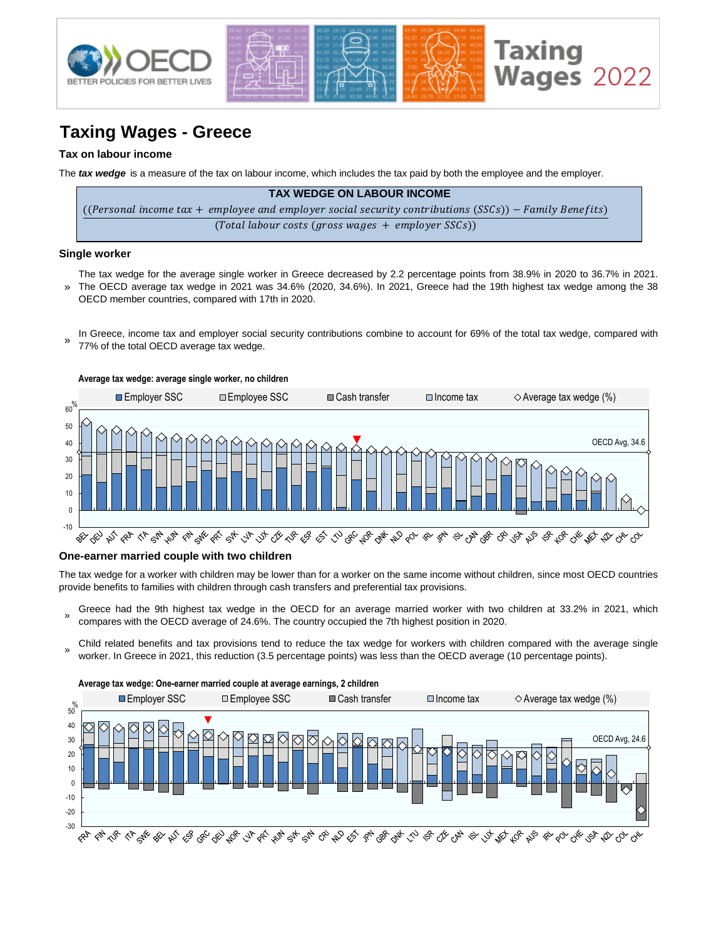

# **Taxing Wages - Greece**

### **Tax on labour income**

The *tax wedge* is a measure of the tax on labour income, which includes the tax paid by both the employee and the employer.

| <b>TAX WEDGE ON LABOUR INCOME</b>                                                                      |
|--------------------------------------------------------------------------------------------------------|
| ((Personal income tax + employee and employer social security contributions (SSCs)) – Family Benefits) |
| $(Total$ labour costs (gross wages $+$ employer SSCs))                                                 |

#### **Single worker**

- » The tax wedge for the average single worker in Greece decreased by 2.2 percentage points from 38.9% in 2020 to 36.7% in 2021. The OECD average tax wedge in 2021 was 34.6% (2020, 34.6%). In 2021, Greece had the 19th highest tax wedge among the 38 OECD member countries, compared with 17th in 2020.
- In Greece, income tax and employer social security contributions combine to account for 69% of the total tax wedge, compared with 77% of the total OECD average tax wedge. »



#### **One-earner married couple with two children**

The tax wedge for a worker with children may be lower than for a worker on the same income without children, since most OECD countries provide benefits to families with children through cash transfers and preferential tax provisions.

- » Greece had the 9th highest tax wedge in the OECD for an average married worker with two children at 33.2% in 2021, which compares with the OECD average of 24.6%. The country occupied the 7th highest position in 2020.
- Child related benefits and tax provisions tend to reduce the tax wedge for workers with children compared with the average single worker. In Greece in 2021, this reduction (3.5 percentage points) was less than the OECD average (10 percentage points).